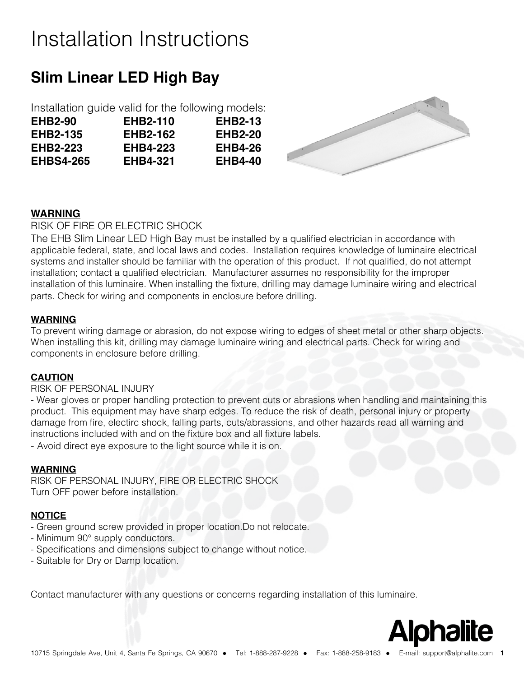# Installation Instructions

## **Slim Linear LED High Bay**

|                  | Installation guide valid for the following models: |                |
|------------------|----------------------------------------------------|----------------|
| <b>EHB2-90</b>   | <b>EHB2-110</b>                                    | <b>EHB2-13</b> |
| <b>EHB2-135</b>  | <b>EHB2-162</b>                                    | <b>EHB2-20</b> |
| <b>EHB2-223</b>  | <b>EHB4-223</b>                                    | <b>EHB4-26</b> |
| <b>EHBS4-265</b> | <b>EHB4-321</b>                                    | <b>EHB4-40</b> |



### **WARNING**

RISK OF FIRE OR ELECTRIC SHOCK

The EHB Slim Linear LED High Bay must be installed by a qualified electrician in accordance with applicable federal, state, and local laws and codes. Installation requires knowledge of luminaire electrical systems and installer should be familiar with the operation of this product. If not qualified, do not attempt installation; contact a qualified electrician. Manufacturer assumes no responsibility for the improper installation of this luminaire. When installing the fixture, drilling may damage luminaire wiring and electrical parts. Check for wiring and components in enclosure before drilling.

#### **WARNING**

To prevent wiring damage or abrasion, do not expose wiring to edges of sheet metal or other sharp objects. When installing this kit, drilling may damage luminaire wiring and electrical parts. Check for wiring and components in enclosure before drilling.

#### **CAUTION**

#### RISK OF PERSONAL INJURY

- Wear gloves or proper handling protection to prevent cuts or abrasions when handling and maintaining this product. This equipment may have sharp edges. To reduce the risk of death, personal injury or property damage from fire, electirc shock, falling parts, cuts/abrassions, and other hazards read all warning and instructions included with and on the fixture box and all fixture labels.

- Avoid direct eye exposure to the light source while it is on.

#### **WARNING**

RISK OF PERSONAL INJURY, FIRE OR ELECTRIC SHOCK Turn OFF power before installation.

#### **NOTICE**

- Green ground screw provided in proper location.Do not relocate.
- Minimum 90° supply conductors.
- Specifications and dimensions subject to change without notice.
- Suitable for Dry or Damp location.

Contact manufacturer with any questions or concerns regarding installation of this luminaire.

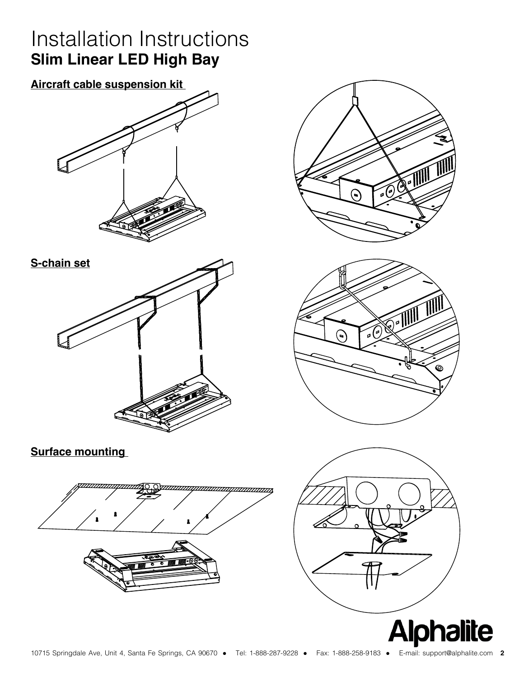## Installation Instructions **Slim Linear LED High Bay**

**Aircraft cable suspension kit** 









**Surface mounting**